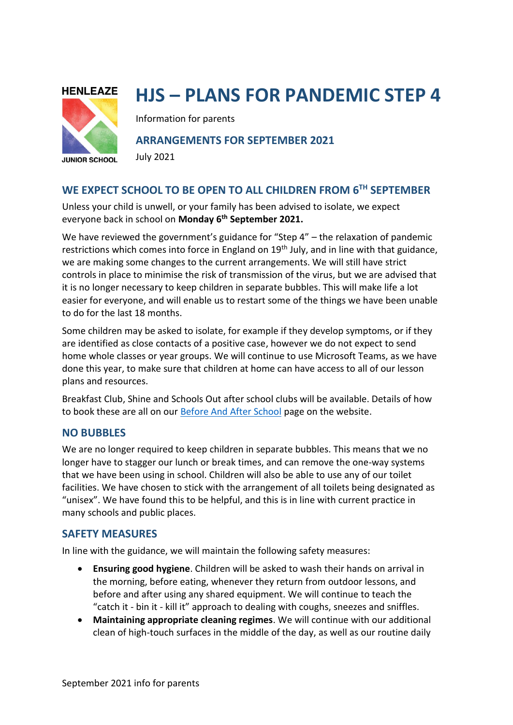

# **HJS – PLANS FOR PANDEMIC STEP 4**

Information for parents

# **ARRANGEMENTS FOR SEPTEMBER 2021**

July 2021

# **WE EXPECT SCHOOL TO BE OPEN TO ALL CHILDREN FROM 6TH SEPTEMBER**

Unless your child is unwell, or your family has been advised to isolate, we expect everyone back in school on **Monday 6 th September 2021.**

We have reviewed the government's guidance for "Step 4" – the relaxation of pandemic restrictions which comes into force in England on 19<sup>th</sup> July, and in line with that guidance, we are making some changes to the current arrangements. We will still have strict **EXECUTE: RECORDING FOR ALL**<br> **EXECUTES** CONTROLS In place to minimise the risk of transmission of the virus, but we are advised that it is no longer necessary to keep children in separate bubbles. This will make life a lot easier for everyone, and will enable us to restart some of the things we have been unable to do for the last 18 months. **ARRANGEMENTS.** 

Some children may be asked to isolate, for example if they develop symptoms, or if they are identified as close contacts of a positive case, however we do not expect to send home whole classes or year groups. We will continue to use Microsoft Teams, as we have done this year, to make sure that children at home can have access to all of our lesson plans and resources.

Breakfast Club, Shine and Schools Out after school clubs will be available. Details of how to book these are all on our [Before And After School](https://www.henleazejuniorschool.co.uk/my-school/before-and-after-school) page on the website.

# **NO BUBBLES**

We are no longer required to keep children in separate bubbles. This means that we no longer have to stagger our lunch or break times, and can remove the one-way systems that we have been using in school. Children will also be able to use any of our toilet facilities. We have chosen to stick with the arrangement of all toilets being designated as "unisex". We have found this to be helpful, and this is in line with current practice in many schools and public places.

# **SAFETY MEASURES**

In line with the guidance, we will maintain the following safety measures:

- **Ensuring good hygiene**. Children will be asked to wash their hands on arrival in the morning, before eating, whenever they return from outdoor lessons, and before and after using any shared equipment. We will continue to teach the "catch it - bin it - kill it" approach to dealing with coughs, sneezes and sniffles.
- **Maintaining appropriate cleaning regimes**. We will continue with our additional clean of high-touch surfaces in the middle of the day, as well as our routine daily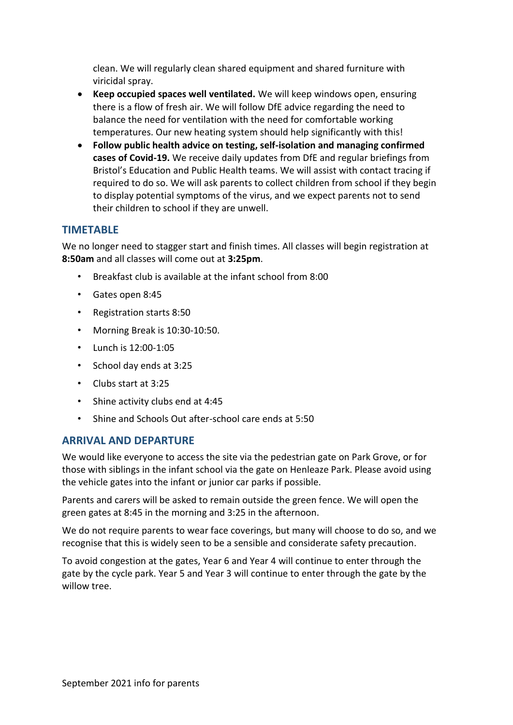clean. We will regularly clean shared equipment and shared furniture with viricidal spray.

- **Keep occupied spaces well ventilated.** We will keep windows open, ensuring there is a flow of fresh air. We will follow DfE advice regarding the need to balance the need for ventilation with the need for comfortable working temperatures. Our new heating system should help significantly with this!
- **Follow public health advice on testing, self-isolation and managing confirmed cases of Covid-19.** We receive daily updates from DfE and regular briefings from Bristol's Education and Public Health teams. We will assist with contact tracing if required to do so. We will ask parents to collect children from school if they begin to display potential symptoms of the virus, and we expect parents not to send their children to school if they are unwell.

# **TIMETABLE**

We no longer need to stagger start and finish times. All classes will begin registration at **8:50am** and all classes will come out at **3:25pm**.

- Breakfast club is available at the infant school from 8:00
- Gates open 8:45
- Registration starts 8:50
- Morning Break is 10:30-10:50.
- Lunch is 12:00-1:05
- School day ends at 3:25
- Clubs start at 3:25
- Shine activity clubs end at 4:45
- Shine and Schools Out after-school care ends at 5:50

## **ARRIVAL AND DEPARTURE**

We would like everyone to access the site via the pedestrian gate on Park Grove, or for those with siblings in the infant school via the gate on Henleaze Park. Please avoid using the vehicle gates into the infant or junior car parks if possible.

Parents and carers will be asked to remain outside the green fence. We will open the green gates at 8:45 in the morning and 3:25 in the afternoon.

We do not require parents to wear face coverings, but many will choose to do so, and we recognise that this is widely seen to be a sensible and considerate safety precaution.

To avoid congestion at the gates, Year 6 and Year 4 will continue to enter through the gate by the cycle park. Year 5 and Year 3 will continue to enter through the gate by the willow tree.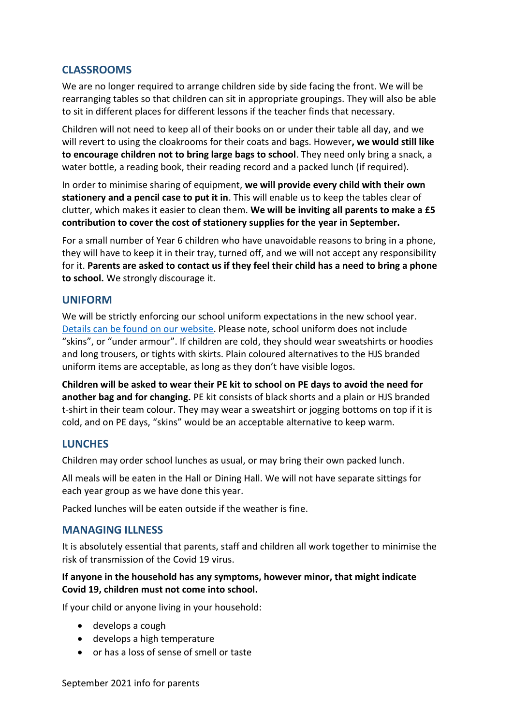# **CLASSROOMS**

We are no longer required to arrange children side by side facing the front. We will be rearranging tables so that children can sit in appropriate groupings. They will also be able to sit in different places for different lessons if the teacher finds that necessary.

Children will not need to keep all of their books on or under their table all day, and we will revert to using the cloakrooms for their coats and bags. However**, we would still like to encourage children not to bring large bags to school**. They need only bring a snack, a water bottle, a reading book, their reading record and a packed lunch (if required).

In order to minimise sharing of equipment, **we will provide every child with their own stationery and a pencil case to put it in**. This will enable us to keep the tables clear of clutter, which makes it easier to clean them. **We will be inviting all parents to make a £5 contribution to cover the cost of stationery supplies for the year in September.**

For a small number of Year 6 children who have unavoidable reasons to bring in a phone, they will have to keep it in their tray, turned off, and we will not accept any responsibility for it. **Parents are asked to contact us if they feel their child has a need to bring a phone to school.** We strongly discourage it.

## **UNIFORM**

We will be strictly enforcing our school uniform expectations in the new school year. [Details can be found on our website.](https://www.henleazejuniorschool.co.uk/application/files/9016/2488/0107/School_Uniform.pdf) Please note, school uniform does not include "skins", or "under armour". If children are cold, they should wear sweatshirts or hoodies and long trousers, or tights with skirts. Plain coloured alternatives to the HJS branded uniform items are acceptable, as long as they don't have visible logos.

**Children will be asked to wear their PE kit to school on PE days to avoid the need for another bag and for changing.** PE kit consists of black shorts and a plain or HJS branded t-shirt in their team colour. They may wear a sweatshirt or jogging bottoms on top if it is cold, and on PE days, "skins" would be an acceptable alternative to keep warm.

## **LUNCHES**

Children may order school lunches as usual, or may bring their own packed lunch.

All meals will be eaten in the Hall or Dining Hall. We will not have separate sittings for each year group as we have done this year.

Packed lunches will be eaten outside if the weather is fine.

# **MANAGING ILLNESS**

It is absolutely essential that parents, staff and children all work together to minimise the risk of transmission of the Covid 19 virus.

## **If anyone in the household has any symptoms, however minor, that might indicate Covid 19, children must not come into school.**

If your child or anyone living in your household:

- develops a cough
- develops a high temperature
- or has a loss of sense of smell or taste